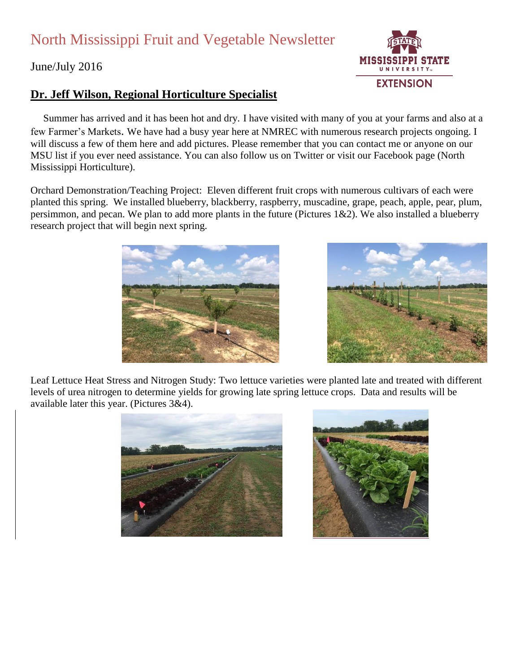## North Mississippi Fruit and Vegetable Newsletter

June/July 2016

## **Dr. Jeff Wilson, Regional Horticulture Specialist**

 Summer has arrived and it has been hot and dry. I have visited with many of you at your farms and also at a few Farmer's Markets. We have had a busy year here at NMREC with numerous research projects ongoing. I will discuss a few of them here and add pictures. Please remember that you can contact me or anyone on our MSU list if you ever need assistance. You can also follow us on Twitter or visit our Facebook page (North Mississippi Horticulture).

Orchard Demonstration/Teaching Project: Eleven different fruit crops with numerous cultivars of each were planted this spring. We installed blueberry, blackberry, raspberry, muscadine, grape, peach, apple, pear, plum, persimmon, and pecan. We plan to add more plants in the future (Pictures 1&2). We also installed a blueberry research project that will begin next spring.

Leaf Lettuce Heat Stress and Nitrogen Study: Two lettuce varieties were planted late and treated with different levels of urea nitrogen to determine yields for growing late spring lettuce crops. Data and results will be available later this year. (Pictures 3&4).







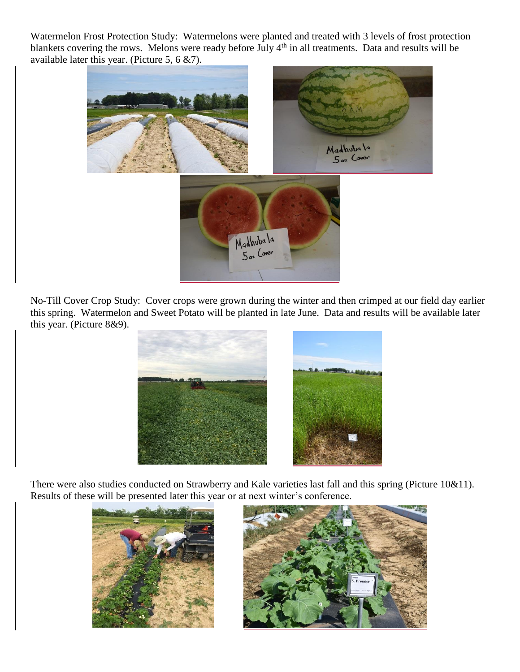Watermelon Frost Protection Study: Watermelons were planted and treated with 3 levels of frost protection blankets covering the rows. Melons were ready before July 4<sup>th</sup> in all treatments. Data and results will be available later this year. (Picture 5, 6 &7).



No-Till Cover Crop Study: Cover crops were grown during the winter and then crimped at our field day earlier this spring. Watermelon and Sweet Potato will be planted in late June. Data and results will be available later this year. (Picture 8&9).



There were also studies conducted on Strawberry and Kale varieties last fall and this spring (Picture 10&11). Results of these will be presented later this year or at next winter's conference.